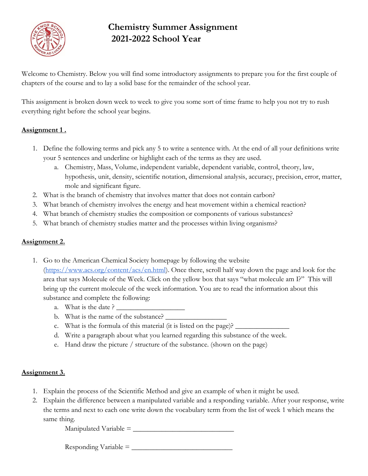

# **Chemistry Summer Assignment 2021-2022 School Year**

Welcome to Chemistry. Below you will find some introductory assignments to prepare you for the first couple of chapters of the course and to lay a solid base for the remainder of the school year.

This assignment is broken down week to week to give you some sort of time frame to help you not try to rush everything right before the school year begins.

## **Assignment 1 .**

- 1. Define the following terms and pick any 5 to write a sentence with. At the end of all your definitions write your 5 sentences and underline or highlight each of the terms as they are used.
	- a. Chemistry, Mass, Volume, independent variable, dependent variable, control, theory, law, hypothesis, unit, density, scientific notation, dimensional analysis, accuracy, precision, error, matter, mole and significant figure.
- 2. What is the branch of chemistry that involves matter that does not contain carbon?
- 3. What branch of chemistry involves the energy and heat movement within a chemical reaction?
- 4. What branch of chemistry studies the composition or components of various substances?
- 5. What branch of chemistry studies matter and the processes within living organisms?

## **Assignment 2.**

- 1. Go to the American Chemical Society homepage by following the website [\(https://www.acs.org/content/acs/en.html\)](https://www.acs.org/content/acs/en.html). Once there, scroll half way down the page and look for the area that says Molecule of the Week. Click on the yellow box that says "what molecule am I?" This will bring up the current molecule of the week information. You are to read the information about this substance and complete the following:
	- a. What is the date ?
	- b. What is the name of the substance?
	- c. What is the formula of this material (it is listed on the page)?
	- d. Write a paragraph about what you learned regarding this substance of the week.
	- e. Hand draw the picture / structure of the substance. (shown on the page)

## **Assignment 3.**

- 1. Explain the process of the Scientific Method and give an example of when it might be used.
- 2. Explain the difference between a manipulated variable and a responding variable. After your response, write the terms and next to each one write down the vocabulary term from the list of week 1 which means the same thing.

 $\text{Manipulated Variable} = \_$ 

 $Responding Variable = \_\_$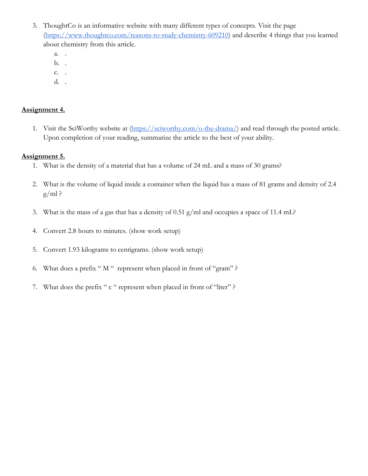- 3. ThoughtCo is an informative website with many different types of concepts. Visit the page [\(https://www.thoughtco.com/reasons-to-study-chemistry-609210\)](https://www.thoughtco.com/reasons-to-study-chemistry-609210) and describe 4 things that you learned about chemistry from this article.
	- a. .
	- b. .
	- c. .
	- d. .

#### **Assignment 4.**

1. Visit the SciWorthy website at  $(\frac{https://sciworthy.com/o-the-drama/}{the-drama})$  and read through the posted article. Upon completion of your reading, summarize the article to the best of your ability.

#### **Assignment 5.**

- 1. What is the density of a material that has a volume of 24 mL and a mass of 30 grams?
- 2. What is the volume of liquid inside a container when the liquid has a mass of 81 grams and density of 2.4  $g/ml$ ?
- 3. What is the mass of a gas that has a density of 0.51 g/ml and occupies a space of 11.4 mL?
- 4. Convert 2.8 hours to minutes. (show work setup)
- 5. Convert 1.93 kilograms to centigrams. (show work setup)
- 6. What does a prefix " M " represent when placed in front of "gram" ?
- 7. What does the prefix " c " represent when placed in front of "liter" ?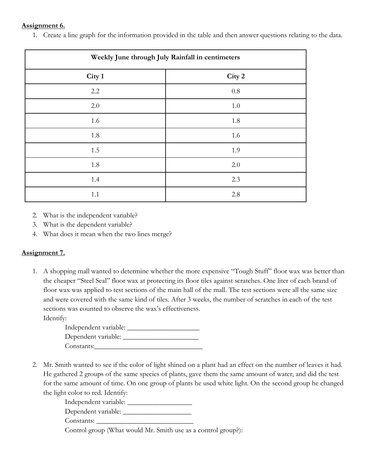#### **Assignment 6.**

1. Create a line graph for the information provided in the table and then answer questions relating to the data.

| Weekly June through July Rainfall in centimeters |         |  |  |
|--------------------------------------------------|---------|--|--|
| City 1                                           | City 2  |  |  |
| 2.2                                              | $0.8\,$ |  |  |
| $2.0\,$                                          | $1.0\,$ |  |  |
| 1.6                                              | 1.8     |  |  |
| 1.8                                              | 1.6     |  |  |
| 1.5                                              | 1.9     |  |  |
| 1.8                                              | 2.0     |  |  |
| 1.4                                              | 2.3     |  |  |
| 1.1                                              | 2.8     |  |  |

2. What is the independent variable?

- 3. What is the dependent variable?
- 4. What does it mean when the two lines merge?

## **Assignment 7.**

1. A shopping mall wanted to determine whether the more expensive "Tough Stuff" floor wax was better than the cheaper "Steel Seal" floor wax at protecting its floor tiles against scratches. One liter of each brand of floor wax was applied to test sections of the main hall of the mall. The test sections were all the same size and were covered with the same kind of tiles. After 3 weeks, the number of scratches in each of the test sections was counted to observe the wax's effectiveness. Identify:

Independent variable: \_\_\_\_\_\_\_\_\_\_\_\_\_\_\_\_\_\_\_\_ Dependent variable: \_\_\_\_\_\_\_\_\_\_\_\_\_\_\_\_\_\_\_\_\_ Constants:\_\_\_\_\_\_\_\_\_\_\_\_\_\_\_\_\_\_\_\_\_\_\_\_\_\_\_\_\_\_

2. Mr. Smith wanted to see if the color of light shined on a plant had an effect on the number of leaves it had. He gathered 2 groups of the same species of plants, gave them the same amount of water, and did the test for the same amount of time. On one group of plants he used white light. On the second group he changed the light color to red. Identify:

Independent variable: \_\_\_\_\_\_\_\_\_\_\_\_\_\_\_\_\_\_

Dependent variable:

Constants:

Control group (What would Mr. Smith use as a control group?):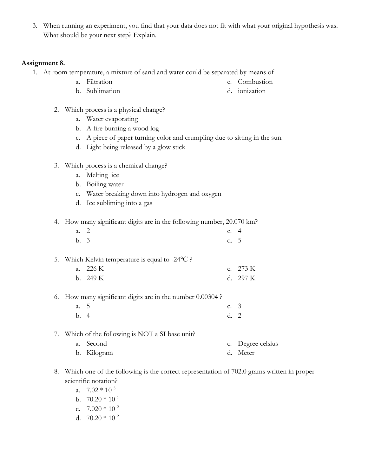3. When running an experiment, you find that your data does not fit with what your original hypothesis was. What should be your next step? Explain.

#### **Assignment 8.**

- 1. At room temperature, a mixture of sand and water could be separated by means of
	- a. Filtration
- c. Combustion d. ionization

- 2. Which process is a physical change?
	- a. Water evaporating

b. Sublimation

- b. A fire burning a wood log
- c. A piece of paper turning color and crumpling due to sitting in the sun.
- d. Light being released by a glow stick
- 3. Which process is a chemical change?
	- a. Melting ice
	- b. Boiling water
	- c. Water breaking down into hydrogen and oxygen
	- d. Ice subliming into a gas
- 4. How many significant digits are in the following number, 20.070 km?

| a. 2 |      | c. $4$ |  |
|------|------|--------|--|
|      | b. 3 | d. 5   |  |

- 5. Which Kelvin temperature is equal to -24℃ ?
	- a. 226 K b. 249 K c. 273 K d. 297 K
- 6. How many significant digits are in the number 0.00304 ?
	- a. 5 b. 4 c. 3 d. 2
- 7. Which of the following is NOT a SI base unit?
	- a. Second b. Kilogram c. Degree celsius d. Meter
- 8. Which one of the following is the correct representation of 702.0 grams written in proper scientific notation?
	- a.  $7.02 * 10<sup>3</sup>$
	- b.  $70.20 * 10^{1}$
	- c.  $7.020 * 10^{2}$
	- d.  $70.20 * 10^{2}$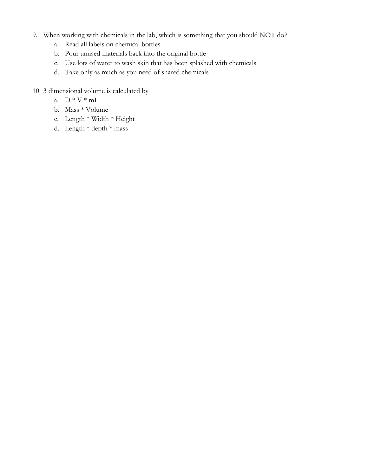- 9. When working with chemicals in the lab, which is something that you should NOT do?
	- a. Read all labels on chemical bottles
	- b. Pour unused materials back into the original bottle
	- c. Use lots of water to wash skin that has been splashed with chemicals
	- d. Take only as much as you need of shared chemicals
- 10. 3 dimensional volume is calculated by
	- a.  $D * V * mL$
	- b. Mass \* Volume
	- c. Length \* Width \* Height
	- d. Length \* depth \* mass